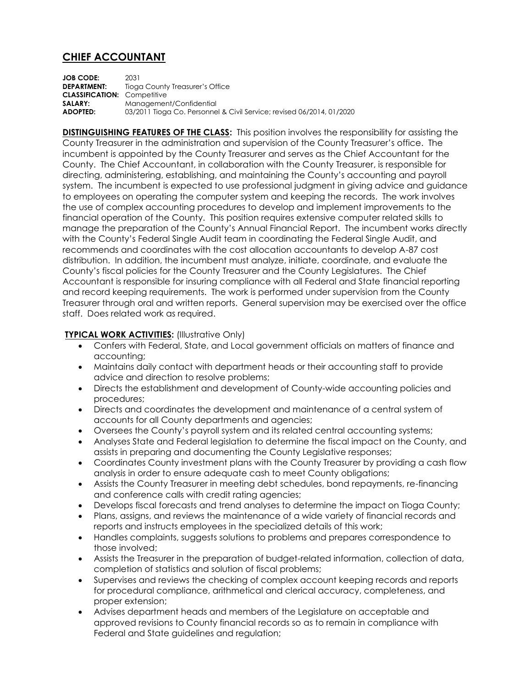## **CHIEF ACCOUNTANT**

**JOB CODE:** 2031 **DEPARTMENT:** Tioga County Treasurer's Office **CLASSIFICATION:** Competitive **SALARY:** Management/Confidential **ADOPTED:** 03/2011 Tioga Co. Personnel & Civil Service; revised 06/2014, 01/2020

**DISTINGUISHING FEATURES OF THE CLASS:** This position involves the responsibility for assisting the County Treasurer in the administration and supervision of the County Treasurer's office. The incumbent is appointed by the County Treasurer and serves as the Chief Accountant for the County. The Chief Accountant, in collaboration with the County Treasurer, is responsible for directing, administering, establishing, and maintaining the County's accounting and payroll system. The incumbent is expected to use professional judgment in giving advice and guidance to employees on operating the computer system and keeping the records. The work involves the use of complex accounting procedures to develop and implement improvements to the financial operation of the County. This position requires extensive computer related skills to manage the preparation of the County's Annual Financial Report. The incumbent works directly with the County's Federal Single Audit team in coordinating the Federal Single Audit, and recommends and coordinates with the cost allocation accountants to develop A-87 cost distribution. In addition, the incumbent must analyze, initiate, coordinate, and evaluate the County's fiscal policies for the County Treasurer and the County Legislatures. The Chief Accountant is responsible for insuring compliance with all Federal and State financial reporting and record keeping requirements. The work is performed under supervision from the County Treasurer through oral and written reports. General supervision may be exercised over the office staff. Does related work as required.

## **TYPICAL WORK ACTIVITIES: (Illustrative Only)**

- Confers with Federal, State, and Local government officials on matters of finance and accounting;
- Maintains daily contact with department heads or their accounting staff to provide advice and direction to resolve problems;
- Directs the establishment and development of County-wide accounting policies and procedures;
- Directs and coordinates the development and maintenance of a central system of accounts for all County departments and agencies;
- Oversees the County's payroll system and its related central accounting systems;
- Analyses State and Federal legislation to determine the fiscal impact on the County, and assists in preparing and documenting the County Legislative responses;
- Coordinates County investment plans with the County Treasurer by providing a cash flow analysis in order to ensure adequate cash to meet County obligations;
- Assists the County Treasurer in meeting debt schedules, bond repayments, re-financing and conference calls with credit rating agencies;
- Develops fiscal forecasts and trend analyses to determine the impact on Tioga County;
- Plans, assigns, and reviews the maintenance of a wide variety of financial records and reports and instructs employees in the specialized details of this work;
- Handles complaints, suggests solutions to problems and prepares correspondence to those involved;
- Assists the Treasurer in the preparation of budget-related information, collection of data, completion of statistics and solution of fiscal problems;
- Supervises and reviews the checking of complex account keeping records and reports for procedural compliance, arithmetical and clerical accuracy, completeness, and proper extension;
- Advises department heads and members of the Legislature on acceptable and approved revisions to County financial records so as to remain in compliance with Federal and State guidelines and regulation;